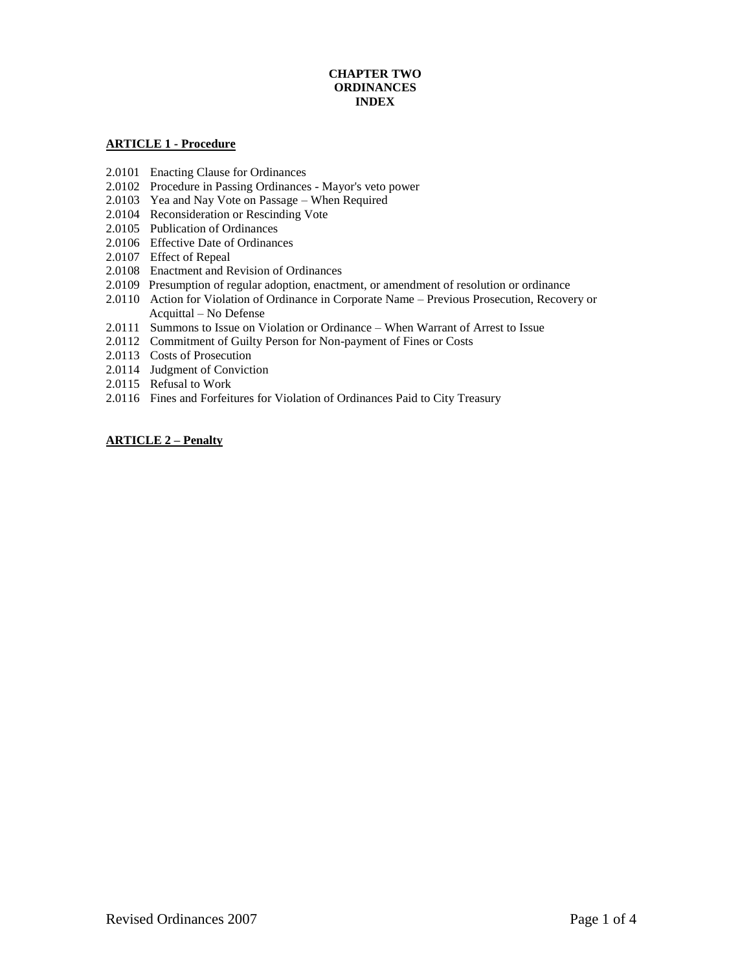# **CHAPTER TWO ORDINANCES INDEX**

### **ARTICLE 1 - Procedure**

- 2.0101 Enacting Clause for Ordinances
- 2.0102 Procedure in Passing Ordinances Mayor's veto power
- 2.0103 Yea and Nay Vote on Passage When Required
- 2.0104 Reconsideration or Rescinding Vote
- 2.0105 Publication of Ordinances
- 2.0106 Effective Date of Ordinances
- 2.0107 Effect of Repeal
- 2.0108 Enactment and Revision of Ordinances
- 2.0109 Presumption of regular adoption, enactment, or amendment of resolution or ordinance
- 2.0110 Action for Violation of Ordinance in Corporate Name Previous Prosecution, Recovery or Acquittal – No Defense
- 2.0111 Summons to Issue on Violation or Ordinance When Warrant of Arrest to Issue
- 2.0112 Commitment of Guilty Person for Non-payment of Fines or Costs
- 2.0113 Costs of Prosecution
- 2.0114 Judgment of Conviction
- 2.0115 Refusal to Work
- 2.0116 Fines and Forfeitures for Violation of Ordinances Paid to City Treasury

#### **ARTICLE 2 – Penalty**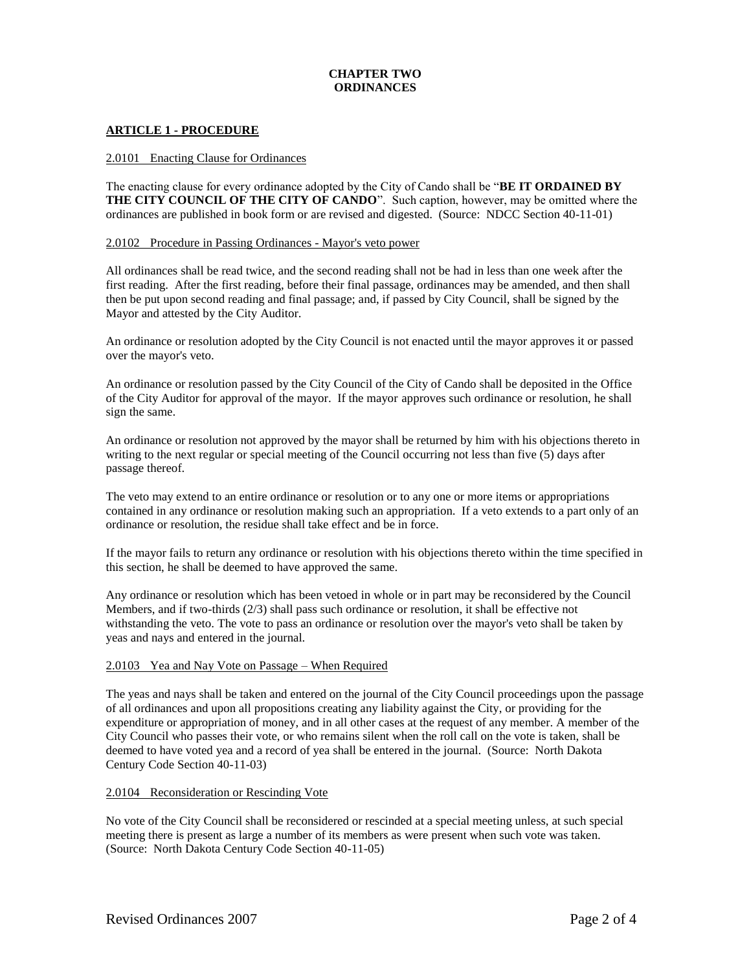# **CHAPTER TWO ORDINANCES**

### **ARTICLE 1 - PROCEDURE**

#### 2.0101 Enacting Clause for Ordinances

The enacting clause for every ordinance adopted by the City of Cando shall be "**BE IT ORDAINED BY THE CITY COUNCIL OF THE CITY OF CANDO**". Such caption, however, may be omitted where the ordinances are published in book form or are revised and digested. (Source: NDCC Section 40-11-01)

#### 2.0102 Procedure in Passing Ordinances - Mayor's veto power

All ordinances shall be read twice, and the second reading shall not be had in less than one week after the first reading. After the first reading, before their final passage, ordinances may be amended, and then shall then be put upon second reading and final passage; and, if passed by City Council, shall be signed by the Mayor and attested by the City Auditor.

An ordinance or resolution adopted by the City Council is not enacted until the mayor approves it or passed over the mayor's veto.

An ordinance or resolution passed by the City Council of the City of Cando shall be deposited in the Office of the City Auditor for approval of the mayor. If the mayor approves such ordinance or resolution, he shall sign the same.

An ordinance or resolution not approved by the mayor shall be returned by him with his objections thereto in writing to the next regular or special meeting of the Council occurring not less than five (5) days after passage thereof.

The veto may extend to an entire ordinance or resolution or to any one or more items or appropriations contained in any ordinance or resolution making such an appropriation. If a veto extends to a part only of an ordinance or resolution, the residue shall take effect and be in force.

If the mayor fails to return any ordinance or resolution with his objections thereto within the time specified in this section, he shall be deemed to have approved the same.

Any ordinance or resolution which has been vetoed in whole or in part may be reconsidered by the Council Members, and if two-thirds (2/3) shall pass such ordinance or resolution, it shall be effective not withstanding the veto. The vote to pass an ordinance or resolution over the mayor's veto shall be taken by yeas and nays and entered in the journal.

#### 2.0103 Yea and Nay Vote on Passage – When Required

The yeas and nays shall be taken and entered on the journal of the City Council proceedings upon the passage of all ordinances and upon all propositions creating any liability against the City, or providing for the expenditure or appropriation of money, and in all other cases at the request of any member. A member of the City Council who passes their vote, or who remains silent when the roll call on the vote is taken, shall be deemed to have voted yea and a record of yea shall be entered in the journal. (Source: North Dakota Century Code Section 40-11-03)

#### 2.0104 Reconsideration or Rescinding Vote

No vote of the City Council shall be reconsidered or rescinded at a special meeting unless, at such special meeting there is present as large a number of its members as were present when such vote was taken. (Source: North Dakota Century Code Section 40-11-05)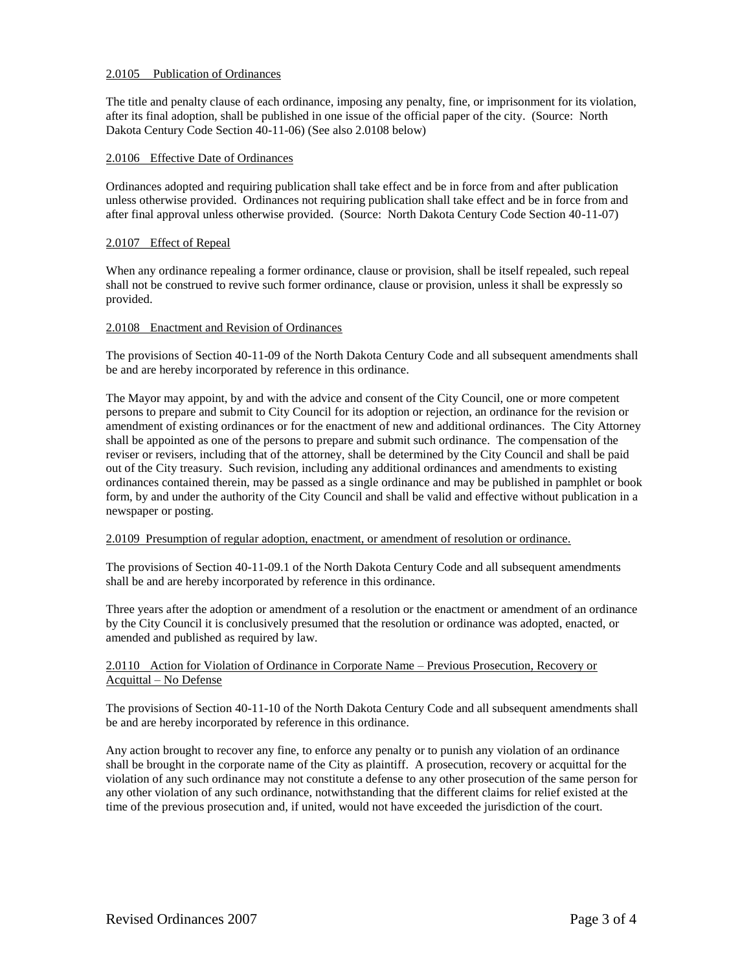### 2.0105 Publication of Ordinances

The title and penalty clause of each ordinance, imposing any penalty, fine, or imprisonment for its violation, after its final adoption, shall be published in one issue of the official paper of the city. (Source: North Dakota Century Code Section 40-11-06) (See also 2.0108 below)

### 2.0106 Effective Date of Ordinances

Ordinances adopted and requiring publication shall take effect and be in force from and after publication unless otherwise provided. Ordinances not requiring publication shall take effect and be in force from and after final approval unless otherwise provided. (Source: North Dakota Century Code Section 40-11-07)

### 2.0107 Effect of Repeal

When any ordinance repealing a former ordinance, clause or provision, shall be itself repealed, such repeal shall not be construed to revive such former ordinance, clause or provision, unless it shall be expressly so provided.

### 2.0108 Enactment and Revision of Ordinances

The provisions of Section 40-11-09 of the North Dakota Century Code and all subsequent amendments shall be and are hereby incorporated by reference in this ordinance.

The Mayor may appoint, by and with the advice and consent of the City Council, one or more competent persons to prepare and submit to City Council for its adoption or rejection, an ordinance for the revision or amendment of existing ordinances or for the enactment of new and additional ordinances. The City Attorney shall be appointed as one of the persons to prepare and submit such ordinance. The compensation of the reviser or revisers, including that of the attorney, shall be determined by the City Council and shall be paid out of the City treasury. Such revision, including any additional ordinances and amendments to existing ordinances contained therein, may be passed as a single ordinance and may be published in pamphlet or book form, by and under the authority of the City Council and shall be valid and effective without publication in a newspaper or posting.

### 2.0109 Presumption of regular adoption, enactment, or amendment of resolution or ordinance.

The provisions of Section 40-11-09.1 of the North Dakota Century Code and all subsequent amendments shall be and are hereby incorporated by reference in this ordinance.

Three years after the adoption or amendment of a resolution or the enactment or amendment of an ordinance by the City Council it is conclusively presumed that the resolution or ordinance was adopted, enacted, or amended and published as required by law.

# 2.0110 Action for Violation of Ordinance in Corporate Name – Previous Prosecution, Recovery or Acquittal – No Defense

The provisions of Section 40-11-10 of the North Dakota Century Code and all subsequent amendments shall be and are hereby incorporated by reference in this ordinance.

Any action brought to recover any fine, to enforce any penalty or to punish any violation of an ordinance shall be brought in the corporate name of the City as plaintiff. A prosecution, recovery or acquittal for the violation of any such ordinance may not constitute a defense to any other prosecution of the same person for any other violation of any such ordinance, notwithstanding that the different claims for relief existed at the time of the previous prosecution and, if united, would not have exceeded the jurisdiction of the court.